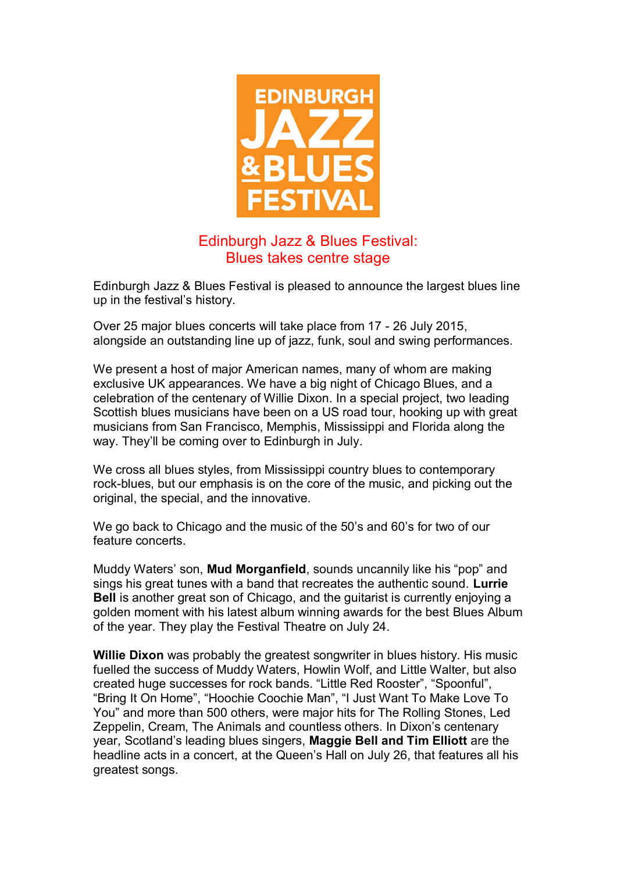

## Edinburgh Jazz & Blues Festival: Blues takes centre stage

Edinburgh Jazz & Blues Festival is pleased to announce the largest blues line up in the festival's history.

Over 25 major blues concerts will take place from 17 - 26 July 2015, alongside an outstanding line up of jazz, funk, soul and swing performances.

We present a host of major American names, many of whom are making exclusive UK appearances. We have a big night of Chicago Blues, and a celebration of the centenary of Willie Dixon. In a special project, two leading Scottish blues musicians have been on a US road tour, hooking up with great musicians from San Francisco, Memphis, Mississippi and Florida along the way. They'll be coming over to Edinburgh in July.

We cross all blues styles, from Mississippi country blues to contemporary rock-blues, but our emphasis is on the core of the music, and picking out the original, the special, and the innovative.

We go back to Chicago and the music of the 50's and 60's for two of our feature concerts.

Muddy Waters' son, **Mud Morganfield**, sounds uncannily like his "pop" and sings his great tunes with a band that recreates the authentic sound. **Lurrie Bell** is another great son of Chicago, and the guitarist is currently enjoying a golden moment with his latest album winning awards for the best Blues Album of the year. They play the Festival Theatre on July 24.

**Willie Dixon** was probably the greatest songwriter in blues history. His music fuelled the success of Muddy Waters, Howlin Wolf, and Little Walter, but also created huge successes for rock bands. "Little Red Rooster", "Spoonful", "Bring It On Home", "Hoochie Coochie Man", "I Just Want To Make Love To You" and more than 500 others, were major hits for The Rolling Stones, Led Zeppelin, Cream, The Animals and countless others. In Dixon's centenary year, Scotland's leading blues singers, **Maggie Bell and Tim Elliott** are the headline acts in a concert, at the Queen's Hall on July 26, that features all his greatest songs.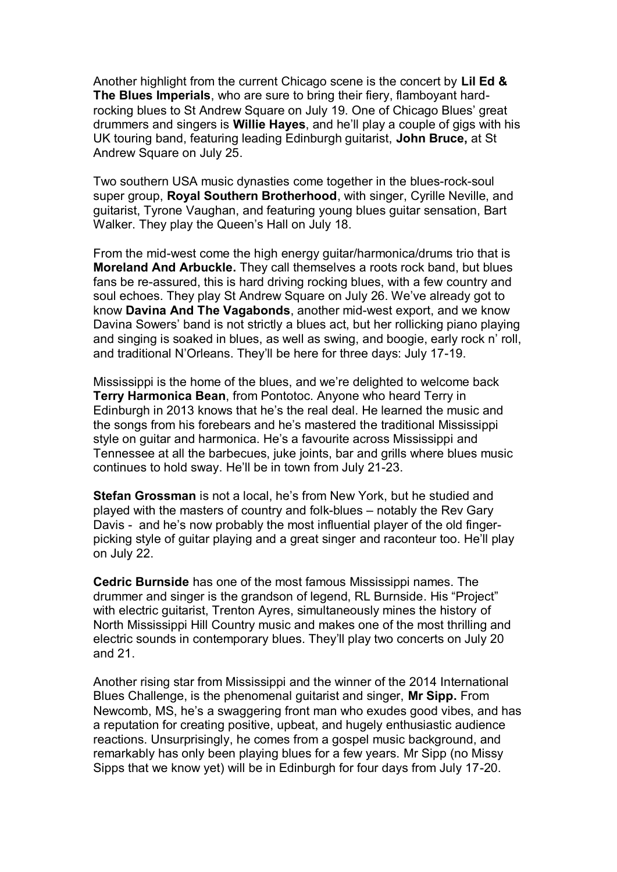Another highlight from the current Chicago scene is the concert by **Lil Ed & The Blues Imperials**, who are sure to bring their fiery, flamboyant hardrocking blues to St Andrew Square on July 19. One of Chicago Blues' great drummers and singers is **Willie Hayes**, and he'll play a couple of gigs with his UK touring band, featuring leading Edinburgh guitarist, **John Bruce,** at St Andrew Square on July 25.

Two southern USA music dynasties come together in the blues-rock-soul super group, **Royal Southern Brotherhood**, with singer, Cyrille Neville, and guitarist, Tyrone Vaughan, and featuring young blues guitar sensation, Bart Walker. They play the Queen's Hall on July 18.

From the mid-west come the high energy guitar/harmonica/drums trio that is **Moreland And Arbuckle.** They call themselves a roots rock band, but blues fans be re-assured, this is hard driving rocking blues, with a few country and soul echoes. They play St Andrew Square on July 26. We've already got to know **Davina And The Vagabonds**, another mid-west export, and we know Davina Sowers' band is not strictly a blues act, but her rollicking piano playing and singing is soaked in blues, as well as swing, and boogie, early rock n' roll, and traditional N'Orleans. They'll be here for three days: July 17-19.

Mississippi is the home of the blues, and we're delighted to welcome back **Terry Harmonica Bean**, from Pontotoc. Anyone who heard Terry in Edinburgh in 2013 knows that he's the real deal. He learned the music and the songs from his forebears and he's mastered the traditional Mississippi style on guitar and harmonica. He's a favourite across Mississippi and Tennessee at all the barbecues, juke joints, bar and grills where blues music continues to hold sway. He'll be in town from July 21-23.

**Stefan Grossman** is not a local, he's from New York, but he studied and played with the masters of country and folk-blues – notably the Rev Gary Davis - and he's now probably the most influential player of the old fingerpicking style of guitar playing and a great singer and raconteur too. He'll play on July 22.

**Cedric Burnside** has one of the most famous Mississippi names. The drummer and singer is the grandson of legend, RL Burnside. His "Project" with electric guitarist, Trenton Ayres, simultaneously mines the history of North Mississippi Hill Country music and makes one of the most thrilling and electric sounds in contemporary blues. They'll play two concerts on July 20 and 21.

Another rising star from Mississippi and the winner of the 2014 International Blues Challenge, is the phenomenal guitarist and singer, **Mr Sipp.** From Newcomb, MS, he's a swaggering front man who exudes good vibes, and has a reputation for creating positive, upbeat, and hugely enthusiastic audience reactions. Unsurprisingly, he comes from a gospel music background, and remarkably has only been playing blues for a few years. Mr Sipp (no Missy Sipps that we know yet) will be in Edinburgh for four days from July 17-20.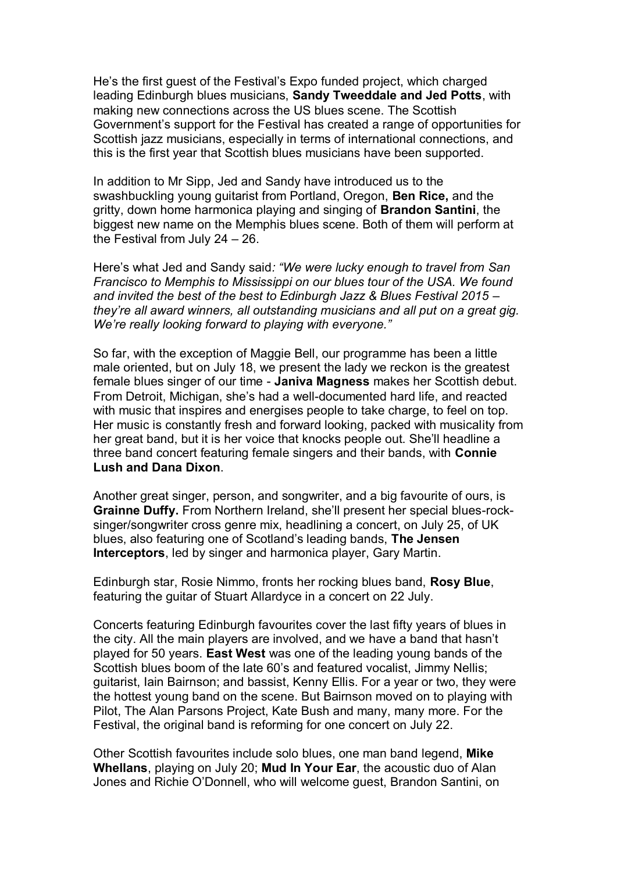He's the first guest of the Festival's Expo funded project, which charged leading Edinburgh blues musicians, **Sandy Tweeddale and Jed Potts**, with making new connections across the US blues scene. The Scottish Government's support for the Festival has created a range of opportunities for Scottish jazz musicians, especially in terms of international connections, and this is the first year that Scottish blues musicians have been supported.

In addition to Mr Sipp, Jed and Sandy have introduced us to the swashbuckling young guitarist from Portland, Oregon, **Ben Rice,** and the gritty, down home harmonica playing and singing of **Brandon Santini**, the biggest new name on the Memphis blues scene. Both of them will perform at the Festival from July 24 – 26.

Here's what Jed and Sandy said*: "We were lucky enough to travel from San Francisco to Memphis to Mississippi on our blues tour of the USA. We found and invited the best of the best to Edinburgh Jazz & Blues Festival 2015 – they're all award winners, all outstanding musicians and all put on a great gig. We're really looking forward to playing with everyone."*

So far, with the exception of Maggie Bell, our programme has been a little male oriented, but on July 18, we present the lady we reckon is the greatest female blues singer of our time - **Janiva Magness** makes her Scottish debut. From Detroit, Michigan, she's had a well-documented hard life, and reacted with music that inspires and energises people to take charge, to feel on top. Her music is constantly fresh and forward looking, packed with musicality from her great band, but it is her voice that knocks people out. She'll headline a three band concert featuring female singers and their bands, with **Connie Lush and Dana Dixon**.

Another great singer, person, and songwriter, and a big favourite of ours, is **Grainne Duffy.** From Northern Ireland, she'll present her special blues-rocksinger/songwriter cross genre mix, headlining a concert, on July 25, of UK blues, also featuring one of Scotland's leading bands, **The Jensen Interceptors**, led by singer and harmonica player, Gary Martin.

Edinburgh star, Rosie Nimmo, fronts her rocking blues band, **Rosy Blue**, featuring the guitar of Stuart Allardyce in a concert on 22 July.

Concerts featuring Edinburgh favourites cover the last fifty years of blues in the city. All the main players are involved, and we have a band that hasn't played for 50 years. **East West** was one of the leading young bands of the Scottish blues boom of the late 60's and featured vocalist, Jimmy Nellis; guitarist, Iain Bairnson; and bassist, Kenny Ellis. For a year or two, they were the hottest young band on the scene. But Bairnson moved on to playing with Pilot, The Alan Parsons Project, Kate Bush and many, many more. For the Festival, the original band is reforming for one concert on July 22.

Other Scottish favourites include solo blues, one man band legend, **Mike Whellans**, playing on July 20; **Mud In Your Ear**, the acoustic duo of Alan Jones and Richie O'Donnell, who will welcome guest, Brandon Santini, on